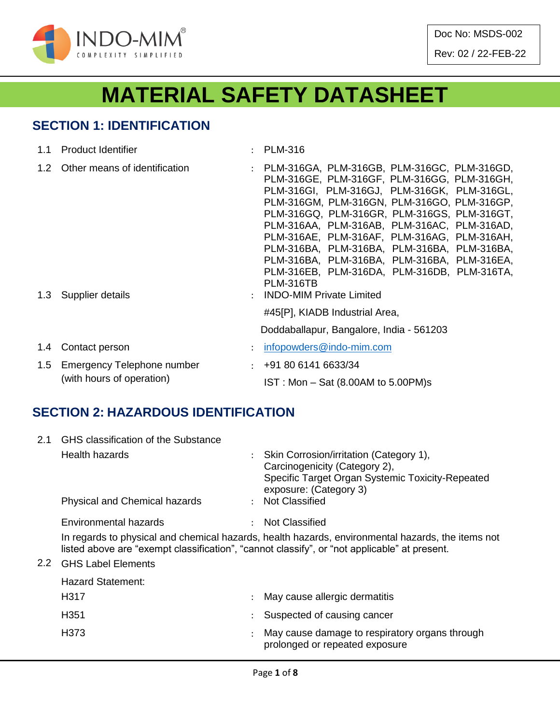

Doc No: MSDS-002

Rev: 02 / 22-FEB-22

# **MATERIAL SAFETY DATASHEET**

# **SECTION 1: IDENTIFICATION**

| 1.1 Product Identifier                                      | $:$ PLM-316                                                                                                                                                                                                                                                                                                                                                                                                                           |
|-------------------------------------------------------------|---------------------------------------------------------------------------------------------------------------------------------------------------------------------------------------------------------------------------------------------------------------------------------------------------------------------------------------------------------------------------------------------------------------------------------------|
| 1.2 Other means of identification                           | : PLM-316GA, PLM-316GB, PLM-316GC, PLM-316GD,<br>PLM-316GE, PLM-316GF, PLM-316GG, PLM-316GH,<br>PLM-316GI, PLM-316GJ, PLM-316GK, PLM-316GL,<br>PLM-316GM, PLM-316GN, PLM-316GO, PLM-316GP,<br>PLM-316GQ, PLM-316GR, PLM-316GS, PLM-316GT,<br>PLM-316AA, PLM-316AB, PLM-316AC, PLM-316AD,<br>PLM-316AE, PLM-316AF, PLM-316AG, PLM-316AH,<br>PLM-316BA, PLM-316BA, PLM-316BA, PLM-316BA,<br>PLM-316BA, PLM-316BA, PLM-316BA, PLM-316EA, |
| 1.3 Supplier details                                        | PLM-316EB, PLM-316DA, PLM-316DB, PLM-316TA,<br><b>PLM-316TB</b><br>: INDO-MIM Private Limited<br>#45[P], KIADB Industrial Area,                                                                                                                                                                                                                                                                                                       |
|                                                             | Doddaballapur, Bangalore, India - 561203                                                                                                                                                                                                                                                                                                                                                                                              |
| 1.4 Contact person                                          | $\therefore$ infopowders@indo-mim.com                                                                                                                                                                                                                                                                                                                                                                                                 |
| 1.5 Emergency Telephone number<br>(with hours of operation) | $\div$ +91 80 6141 6633/34                                                                                                                                                                                                                                                                                                                                                                                                            |
|                                                             | $IST: Mon - Sat (8.00AM to 5.00PM)s$                                                                                                                                                                                                                                                                                                                                                                                                  |

# **SECTION 2: HAZARDOUS IDENTIFICATION**

| 2.1 | GHS classification of the Substance  |                                                                                                                                                                                                   |
|-----|--------------------------------------|---------------------------------------------------------------------------------------------------------------------------------------------------------------------------------------------------|
|     | Health hazards                       | Skin Corrosion/irritation (Category 1),<br>Carcinogenicity (Category 2),<br>Specific Target Organ Systemic Toxicity-Repeated<br>exposure: (Category 3)                                            |
|     | <b>Physical and Chemical hazards</b> | : Not Classified                                                                                                                                                                                  |
|     | Environmental hazards                | Not Classified                                                                                                                                                                                    |
|     |                                      | In regards to physical and chemical hazards, health hazards, environmental hazards, the items not<br>listed above are "exempt classification", "cannot classify", or "not applicable" at present. |
| 2.2 | <b>GHS Label Elements</b>            |                                                                                                                                                                                                   |
|     | Hazard Statement:                    |                                                                                                                                                                                                   |
|     | H317                                 | May cause allergic dermatitis                                                                                                                                                                     |
|     | H <sub>351</sub>                     | Suspected of causing cancer                                                                                                                                                                       |
|     | H373                                 | May cause damage to respiratory organs through<br>prolonged or repeated exposure                                                                                                                  |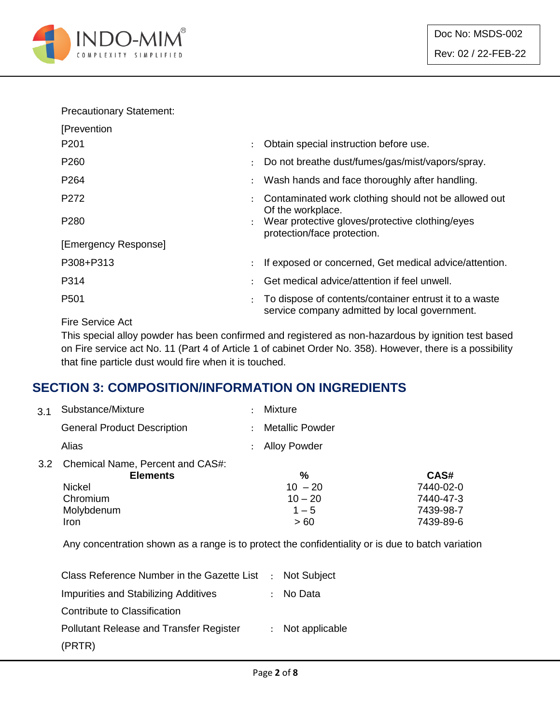

#### Precautionary Statement:

| [Prevention          |                      |                                                                                                         |
|----------------------|----------------------|---------------------------------------------------------------------------------------------------------|
| P <sub>201</sub>     | $\ddot{\phantom{0}}$ | Obtain special instruction before use.                                                                  |
| P <sub>260</sub>     |                      | Do not breathe dust/fumes/gas/mist/vapors/spray.                                                        |
| P <sub>264</sub>     |                      | Wash hands and face thoroughly after handling.                                                          |
| P272                 |                      | Contaminated work clothing should not be allowed out<br>Of the workplace.                               |
| P <sub>280</sub>     |                      | : Wear protective gloves/protective clothing/eyes<br>protection/face protection.                        |
| [Emergency Response] |                      |                                                                                                         |
| P308+P313            |                      | If exposed or concerned, Get medical advice/attention.                                                  |
| P314                 |                      | Get medical advice/attention if feel unwell.                                                            |
| P <sub>501</sub>     |                      | To dispose of contents/container entrust it to a waste<br>service company admitted by local government. |

Fire Service Act

This special alloy powder has been confirmed and registered as non-hazardous by ignition test based on Fire service act No. 11 (Part 4 of Article 1 of cabinet Order No. 358). However, there is a possibility that fine particle dust would fire when it is touched.

#### **SECTION 3: COMPOSITION/INFORMATION ON INGREDIENTS**

| 3.1 | Substance/Mixture                                       | <b>Mixture</b>         |           |
|-----|---------------------------------------------------------|------------------------|-----------|
|     | <b>General Product Description</b>                      | <b>Metallic Powder</b> |           |
|     | Alias                                                   | <b>Alloy Powder</b>    |           |
|     | 3.2 Chemical Name, Percent and CAS#:<br><b>Elements</b> | %                      | CAS#      |
|     | <b>Nickel</b>                                           | $10 - 20$              | 7440-02-0 |
|     | Chromium                                                | $10 - 20$              | 7440-47-3 |
|     | Molybdenum                                              | $1 - 5$                | 7439-98-7 |
|     | Iron                                                    | >60                    | 7439-89-6 |

Any concentration shown as a range is to protect the confidentiality or is due to batch variation

| Class Reference Number in the Gazette List : Not Subject |                  |
|----------------------------------------------------------|------------------|
| Impurities and Stabilizing Additives                     | : No Data        |
| Contribute to Classification                             |                  |
| <b>Pollutant Release and Transfer Register</b>           | : Not applicable |
| (PRTR)                                                   |                  |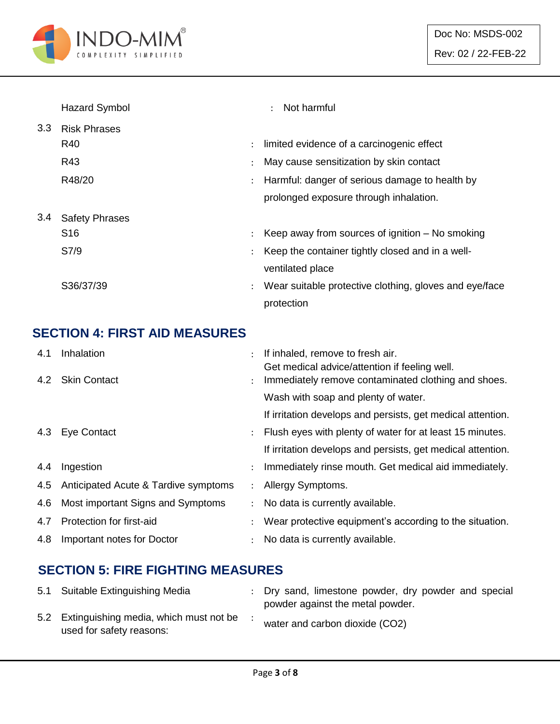

|     | <b>Hazard Symbol</b>  |                | Not harmful<br>÷                                       |
|-----|-----------------------|----------------|--------------------------------------------------------|
| 3.3 | <b>Risk Phrases</b>   |                |                                                        |
|     | R40                   | ÷              | limited evidence of a carcinogenic effect              |
|     | R43                   |                | May cause sensitization by skin contact                |
|     | R48/20                |                | Harmful: danger of serious damage to health by         |
|     |                       |                | prolonged exposure through inhalation.                 |
| 3.4 | <b>Safety Phrases</b> |                |                                                        |
|     | S <sub>16</sub>       | $\ddot{\cdot}$ | Keep away from sources of ignition $-$ No smoking      |
|     | S7/9                  |                | Keep the container tightly closed and in a well-       |
|     |                       |                | ventilated place                                       |
|     | S36/37/39             |                | Wear suitable protective clothing, gloves and eye/face |
|     |                       |                | protection                                             |

# **SECTION 4: FIRST AID MEASURES**

| 4.1 | Inhalation                               |               | If inhaled, remove to fresh air.                            |
|-----|------------------------------------------|---------------|-------------------------------------------------------------|
|     |                                          |               | Get medical advice/attention if feeling well.               |
|     | 4.2 Skin Contact                         |               | Immediately remove contaminated clothing and shoes.         |
|     |                                          |               | Wash with soap and plenty of water.                         |
|     |                                          |               | If irritation develops and persists, get medical attention. |
|     | 4.3 Eye Contact                          |               | Flush eyes with plenty of water for at least 15 minutes.    |
|     |                                          |               | If irritation develops and persists, get medical attention. |
| 4.4 | Ingestion                                | $\mathcal{L}$ | Immediately rinse mouth. Get medical aid immediately.       |
|     | 4.5 Anticipated Acute & Tardive symptoms | $\mathcal{L}$ | Allergy Symptoms.                                           |
| 4.6 | Most important Signs and Symptoms        |               | No data is currently available.                             |
| 4.7 | Protection for first-aid                 |               | Wear protective equipment's according to the situation.     |
| 4.8 | Important notes for Doctor               |               | No data is currently available.                             |

# **SECTION 5: FIRE FIGHTING MEASURES**

| 5.1 Suitable Extinguishing Media                                       | : Dry sand, limestone powder, dry powder and special<br>powder against the metal powder. |
|------------------------------------------------------------------------|------------------------------------------------------------------------------------------|
| 5.2 Extinguishing media, which must not be<br>used for safety reasons: | water and carbon dioxide (CO2)                                                           |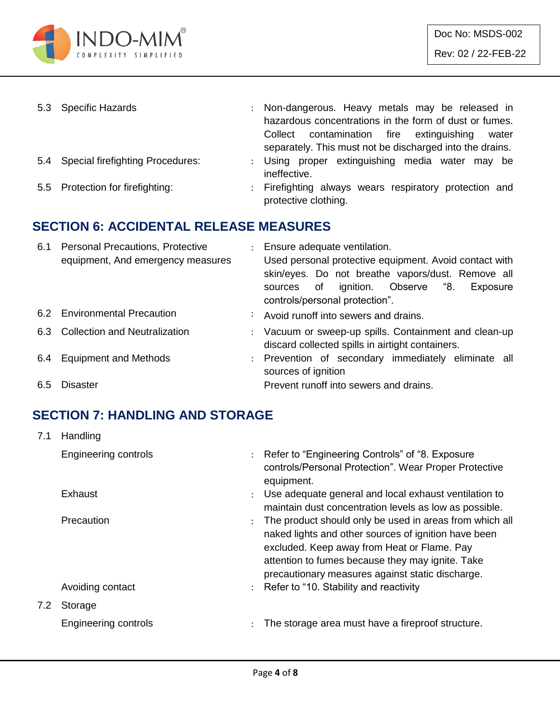

| 5.3 Specific Hazards                 | : Non-dangerous. Heavy metals may be released in<br>hazardous concentrations in the form of dust or fumes.<br>Collect contamination fire extinguishing<br>water<br>separately. This must not be discharged into the drains. |
|--------------------------------------|-----------------------------------------------------------------------------------------------------------------------------------------------------------------------------------------------------------------------------|
| 5.4 Special firefighting Procedures: | : Using proper extinguishing media water may be<br>ineffective.                                                                                                                                                             |
| 5.5 Protection for firefighting:     | : Firefighting always wears respiratory protection and<br>protective clothing.                                                                                                                                              |

#### **SECTION 6: ACCIDENTAL RELEASE MEASURES**

| 6.1 | <b>Personal Precautions, Protective</b><br>equipment, And emergency measures | : Ensure adequate ventilation.<br>Used personal protective equipment. Avoid contact with<br>skin/eyes. Do not breathe vapors/dust. Remove all<br>sources of ignition. Observe "8.<br>Exposure<br>controls/personal protection". |
|-----|------------------------------------------------------------------------------|---------------------------------------------------------------------------------------------------------------------------------------------------------------------------------------------------------------------------------|
|     | 6.2 Environmental Precaution                                                 | : Avoid runoff into sewers and drains.                                                                                                                                                                                          |
|     | 6.3 Collection and Neutralization                                            | : Vacuum or sweep-up spills. Containment and clean-up<br>discard collected spills in airtight containers.                                                                                                                       |
| 6.4 | <b>Equipment and Methods</b>                                                 | : Prevention of secondary immediately eliminate all<br>sources of ignition                                                                                                                                                      |
| 6.5 | Disaster                                                                     | Prevent runoff into sewers and drains.                                                                                                                                                                                          |

# **SECTION 7: HANDLING AND STORAGE**

| 7.1 | Handling             |                      |                                                                                                                                                                                                                                                                        |
|-----|----------------------|----------------------|------------------------------------------------------------------------------------------------------------------------------------------------------------------------------------------------------------------------------------------------------------------------|
|     | Engineering controls |                      | : Refer to "Engineering Controls" of "8. Exposure<br>controls/Personal Protection". Wear Proper Protective<br>equipment.                                                                                                                                               |
|     | Exhaust              | $\ddot{\phantom{0}}$ | Use adequate general and local exhaust ventilation to<br>maintain dust concentration levels as low as possible.                                                                                                                                                        |
|     | Precaution           |                      | The product should only be used in areas from which all<br>naked lights and other sources of ignition have been<br>excluded. Keep away from Heat or Flame. Pay<br>attention to fumes because they may ignite. Take<br>precautionary measures against static discharge. |
|     | Avoiding contact     |                      | : Refer to "10. Stability and reactivity                                                                                                                                                                                                                               |
| 7.2 | Storage              |                      |                                                                                                                                                                                                                                                                        |
|     | Engineering controls | $\ddot{\phantom{a}}$ | The storage area must have a fireproof structure.                                                                                                                                                                                                                      |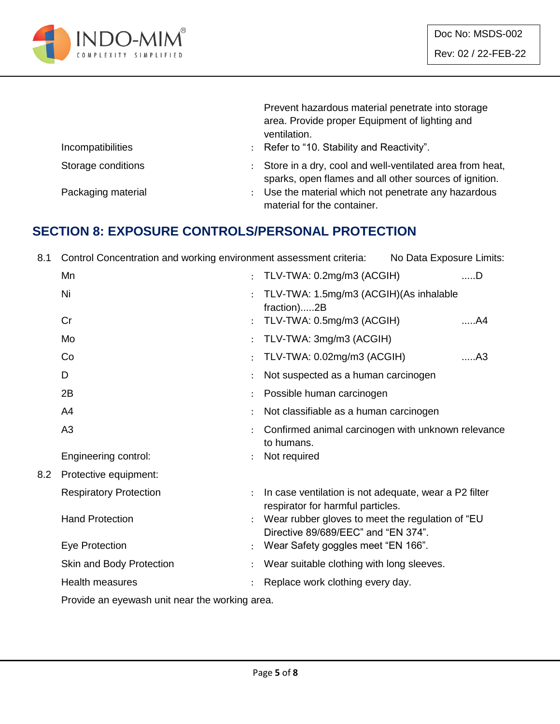

|                    | Prevent hazardous material penetrate into storage<br>area. Provide proper Equipment of lighting and<br>ventilation. |
|--------------------|---------------------------------------------------------------------------------------------------------------------|
| Incompatibilities  | : Refer to "10. Stability and Reactivity".                                                                          |
| Storage conditions | Store in a dry, cool and well-ventilated area from heat,<br>sparks, open flames and all other sources of ignition.  |
| Packaging material | Use the material which not penetrate any hazardous<br>material for the container.                                   |

#### **SECTION 8: EXPOSURE CONTROLS/PERSONAL PROTECTION**

8.1 Control Concentration and working environment assessment criteria: No Data Exposure Limits:

|     | Mn                                             | $\ddot{\phantom{a}}$ | TLV-TWA: 0.2mg/m3 (ACGIH)                                                                  | ……D            |
|-----|------------------------------------------------|----------------------|--------------------------------------------------------------------------------------------|----------------|
|     | Ni                                             | $\cdot$              | TLV-TWA: 1.5mg/m3 (ACGIH)(As inhalable<br>fraction)2B                                      |                |
|     | Cr                                             |                      | TLV-TWA: 0.5mg/m3 (ACGIH)                                                                  | A4             |
|     | Mo                                             | $\ddot{\phantom{0}}$ | TLV-TWA: 3mg/m3 (ACGIH)                                                                    |                |
|     | Co                                             |                      | TLV-TWA: 0.02mg/m3 (ACGIH)                                                                 | A <sub>3</sub> |
|     | D                                              |                      | Not suspected as a human carcinogen                                                        |                |
|     | 2B                                             |                      | Possible human carcinogen                                                                  |                |
|     | A <sub>4</sub>                                 |                      | Not classifiable as a human carcinogen                                                     |                |
|     | A <sub>3</sub>                                 |                      | Confirmed animal carcinogen with unknown relevance<br>to humans.                           |                |
|     | Engineering control:                           |                      | Not required                                                                               |                |
| 8.2 | Protective equipment:                          |                      |                                                                                            |                |
|     | <b>Respiratory Protection</b>                  | $\ddot{\cdot}$       | In case ventilation is not adequate, wear a P2 filter<br>respirator for harmful particles. |                |
|     | <b>Hand Protection</b>                         | ÷                    | Wear rubber gloves to meet the regulation of "EU<br>Directive 89/689/EEC" and "EN 374".    |                |
|     | Eye Protection                                 |                      | Wear Safety goggles meet "EN 166".                                                         |                |
|     | Skin and Body Protection                       |                      | Wear suitable clothing with long sleeves.                                                  |                |
|     | <b>Health measures</b>                         |                      | Replace work clothing every day.                                                           |                |
|     | Droude an ouquinch unit near the warddrep area |                      |                                                                                            |                |

Provide an eyewash unit near the working area.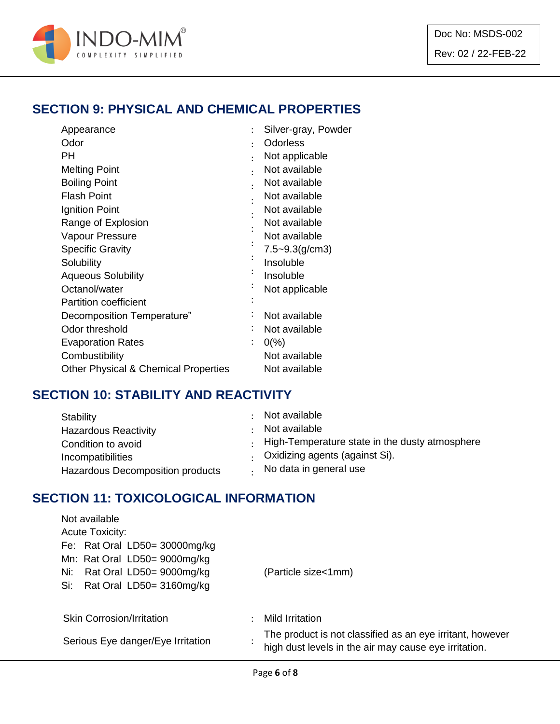

# **SECTION 9: PHYSICAL AND CHEMICAL PROPERTIES**

| Appearance                                      | $\ddot{\cdot}$       | Silver-gray, Powder |
|-------------------------------------------------|----------------------|---------------------|
| Odor                                            | ٠                    | <b>Odorless</b>     |
| PН                                              | ٠                    | Not applicable      |
| <b>Melting Point</b>                            | $\ddot{\phantom{0}}$ | Not available       |
| <b>Boiling Point</b>                            |                      | Not available       |
| <b>Flash Point</b>                              |                      | Not available       |
| Ignition Point                                  |                      | Not available       |
| Range of Explosion                              |                      | Not available       |
| Vapour Pressure                                 |                      | Not available       |
| <b>Specific Gravity</b>                         |                      | $7.5 - 9.3(g/cm3)$  |
| Solubility                                      |                      | Insoluble           |
| <b>Aqueous Solubility</b>                       |                      | Insoluble           |
| Octanol/water                                   |                      | Not applicable      |
| <b>Partition coefficient</b>                    |                      |                     |
| Decomposition Temperature"                      |                      | Not available       |
| Odor threshold                                  |                      | Not available       |
| <b>Evaporation Rates</b>                        |                      | $0\frac{9}{6}$      |
| Combustibility                                  |                      | Not available       |
| <b>Other Physical &amp; Chemical Properties</b> |                      | Not available       |

#### **SECTION 10: STABILITY AND REACTIVITY**

| Stability                        | Not available                                  |
|----------------------------------|------------------------------------------------|
| <b>Hazardous Reactivity</b>      | Not available                                  |
| Condition to avoid               | High-Temperature state in the dusty atmosphere |
| Incompatibilities                | Oxidizing agents (against Si).                 |
| Hazardous Decomposition products | No data in general use                         |

#### **SECTION 11: TOXICOLOGICAL INFORMATION**

| Not available                     |                                                                                                                    |  |  |  |
|-----------------------------------|--------------------------------------------------------------------------------------------------------------------|--|--|--|
| <b>Acute Toxicity:</b>            |                                                                                                                    |  |  |  |
| Fe: Rat Oral LD50= 30000mg/kg     |                                                                                                                    |  |  |  |
| Mn: Rat Oral LD50= 9000mg/kg      |                                                                                                                    |  |  |  |
| Rat Oral LD50= 9000mg/kg<br>Ni:   | (Particle size<1mm)                                                                                                |  |  |  |
| Rat Oral LD50= 3160mg/kg<br>Si:   |                                                                                                                    |  |  |  |
|                                   |                                                                                                                    |  |  |  |
| <b>Skin Corrosion/Irritation</b>  | Mild Irritation                                                                                                    |  |  |  |
| Serious Eye danger/Eye Irritation | The product is not classified as an eye irritant, however<br>high dust levels in the air may cause eye irritation. |  |  |  |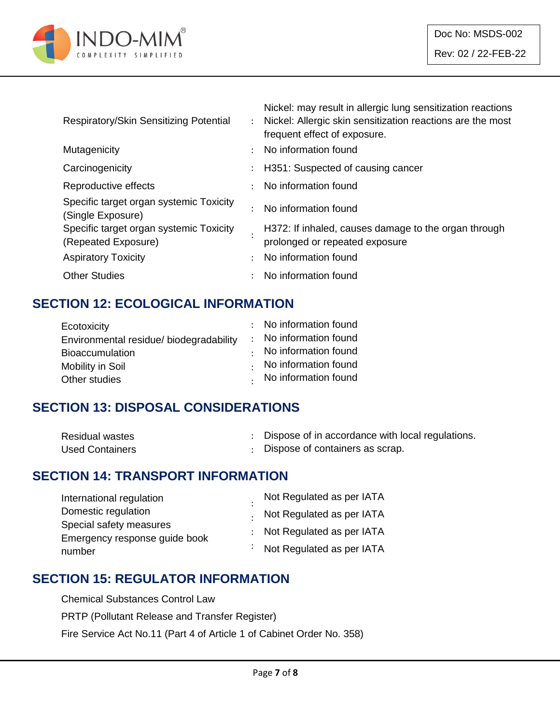

| Respiratory/Skin Sensitizing Potential                         |                           | Nickel: may result in allergic lung sensitization reactions<br>: Nickel: Allergic skin sensitization reactions are the most<br>frequent effect of exposure. |
|----------------------------------------------------------------|---------------------------|-------------------------------------------------------------------------------------------------------------------------------------------------------------|
| Mutagenicity                                                   |                           | No information found                                                                                                                                        |
| Carcinogenicity                                                | $\mathbb{Z}^{\mathbb{Z}}$ | H351: Suspected of causing cancer                                                                                                                           |
| Reproductive effects                                           |                           | : No information found                                                                                                                                      |
| Specific target organ systemic Toxicity<br>(Single Exposure)   |                           | No information found                                                                                                                                        |
| Specific target organ systemic Toxicity<br>(Repeated Exposure) |                           | H372: If inhaled, causes damage to the organ through<br>prolonged or repeated exposure                                                                      |
| <b>Aspiratory Toxicity</b>                                     | $\ddot{\phantom{0}}$      | No information found                                                                                                                                        |
| <b>Other Studies</b>                                           |                           | No information found                                                                                                                                        |

# **SECTION 12: ECOLOGICAL INFORMATION**

| : No information found       |
|------------------------------|
| : No information found       |
| $\cdot$ No information found |
| $\cdot$ No information found |
| . No information found       |
|                              |

#### **SECTION 13: DISPOSAL CONSIDERATIONS**

| <b>Residual wastes</b> | Dispose of in accordance with local regulations. |
|------------------------|--------------------------------------------------|
| <b>Used Containers</b> | : Dispose of containers as scrap.                |

#### **SECTION 14: TRANSPORT INFORMATION**

| International regulation      | Not Regulated as per IATA   |
|-------------------------------|-----------------------------|
| Domestic regulation           | . Not Regulated as per IATA |
| Special safety measures       |                             |
| Emergency response guide book | : Not Regulated as per IATA |
| number                        | : Not Regulated as per IATA |

#### **SECTION 15: REGULATOR INFORMATION**

Chemical Substances Control Law

PRTP (Pollutant Release and Transfer Register)

Fire Service Act No.11 (Part 4 of Article 1 of Cabinet Order No. 358)